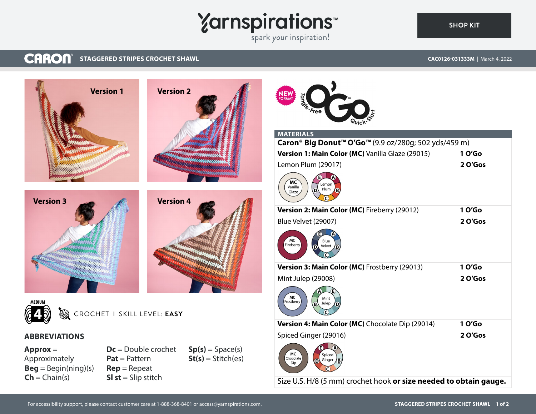# Yarnspirations<sup>\*\*</sup>

# **SHOP KIT**

#### **CARON® STAGGERED STRIPES CROCHET SHAWL CAC0126-031333M** | March 4, 2022





**Sl st** = Slip stitch

 $Ch = Chain(s)$